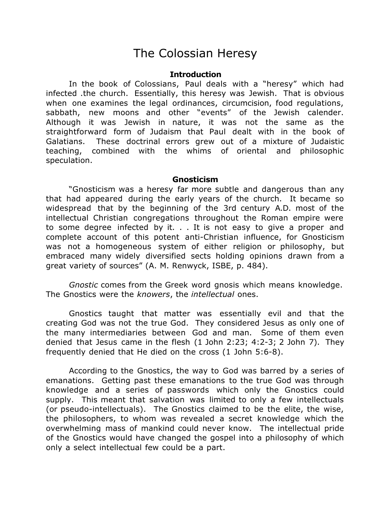## The Colossian Heresy

## **Introduction**

In the book of Colossians, Paul deals with a "heresy" which had infected .the church. Essentially, this heresy was Jewish. That is obvious when one examines the legal ordinances, circumcision, food regulations, sabbath, new moons and other "events" of the Jewish calender. Although it was Jewish in nature, it was not the same as the straightforward form of Judaism that Paul dealt with in the book of Galatians. These doctrinal errors grew out of a mixture of Judaistic teaching, combined with the whims of oriental and philosophic speculation.

## **Gnosticism**

"Gnosticism was a heresy far more subtle and dangerous than any that had appeared during the early years of the church. It became so widespread that by the beginning of the 3rd century A.D. most of the intellectual Christian congregations throughout the Roman empire were to some degree infected by it. . . It is not easy to give a proper and complete account of this potent anti-Christian influence, for Gnosticism was not a homogeneous system of either religion or philosophy, but embraced many widely diversified sects holding opinions drawn from a great variety of sources" (A. M. Renwyck, ISBE, p. 484).

*Gnostic* comes from the Greek word gnosis which means knowledge. The Gnostics were the *knowers*, the *intellectual* ones.

Gnostics taught that matter was essentially evil and that the creating God was not the true God. They considered Jesus as only one of the many intermediaries between God and man. Some of them even denied that Jesus came in the flesh (1 John 2:23; 4:2-3; 2 John 7). They frequently denied that He died on the cross (1 John 5:6-8).

According to the Gnostics, the way to God was barred by a series of emanations. Getting past these emanations to the true God was through knowledge and a series of passwords which only the Gnostics could supply. This meant that salvation was limited to only a few intellectuals (or pseudo-intellectuals). The Gnostics claimed to be the elite, the wise, the philosophers, to whom was revealed a secret knowledge which the overwhelming mass of mankind could never know. The intellectual pride of the Gnostics would have changed the gospel into a philosophy of which only a select intellectual few could be a part.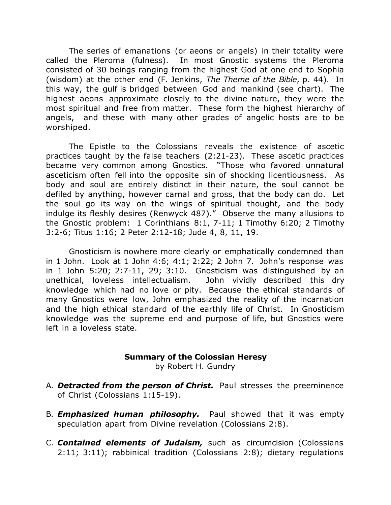The series of emanations (or aeons or angels) in their totality were called the Pleroma (fulness). In most Gnostic systems the Pleroma consisted of 30 beings ranging from the highest God at one end to Sophia (wisdom) at the other end (F. Jenkins, *The Theme of the Bible*, p. 44). In this way, the gulf is bridged between God and mankind (see chart). The highest aeons approximate closely to the divine nature, they were the most spiritual and free from matter. These form the highest hierarchy of angels, and these with many other grades of angelic hosts are to be worshiped.

The Epistle to the Colossians reveals the existence of ascetic practices taught by the false teachers (2:21-23). These ascetic practices became very common among Gnostics. "Those who favored unnatural asceticism often fell into the opposite sin of shocking licentiousness. As body and soul are entirely distinct in their nature, the soul cannot be defiled by anything, however carnal and gross, that the body can do. Let the soul go its way on the wings of spiritual thought, and the body indulge its fleshly desires (Renwyck 487)." Observe the many allusions to the Gnostic problem: 1 Corinthians 8:1, 7-11; 1 Timothy 6:20; 2 Timothy 3:2-6; Titus 1:16; 2 Peter 2:12-18; Jude 4, 8, 11, 19.

Gnosticism is nowhere more clearly or emphatically condemned than in 1 John. Look at 1 John 4:6; 4:1; 2:22; 2 John 7. John's response was in 1 John 5:20; 2:7-11, 29; 3:10. Gnosticism was distinguished by an unethical, loveless intellectualism. John vividly described this dry knowledge which had no love or pity. Because the ethical standards of many Gnostics were low, John emphasized the reality of the incarnation and the high ethical standard of the earthly life of Christ. In Gnosticism knowledge was the supreme end and purpose of life, but Gnostics were left in a loveless state.

## **Summary of the Colossian Heresy**

by Robert H. Gundry

- A. *Detracted from the person of Christ.* Paul stresses the preeminence of Christ (Colossians 1:15-19).
- B. *Emphasized human philosophy.* Paul showed that it was empty speculation apart from Divine revelation (Colossians 2:8).
- C. *Contained elements of Judaism,* such as circumcision (Colossians 2:11; 3:11); rabbinical tradition (Colossians 2:8); dietary regulations